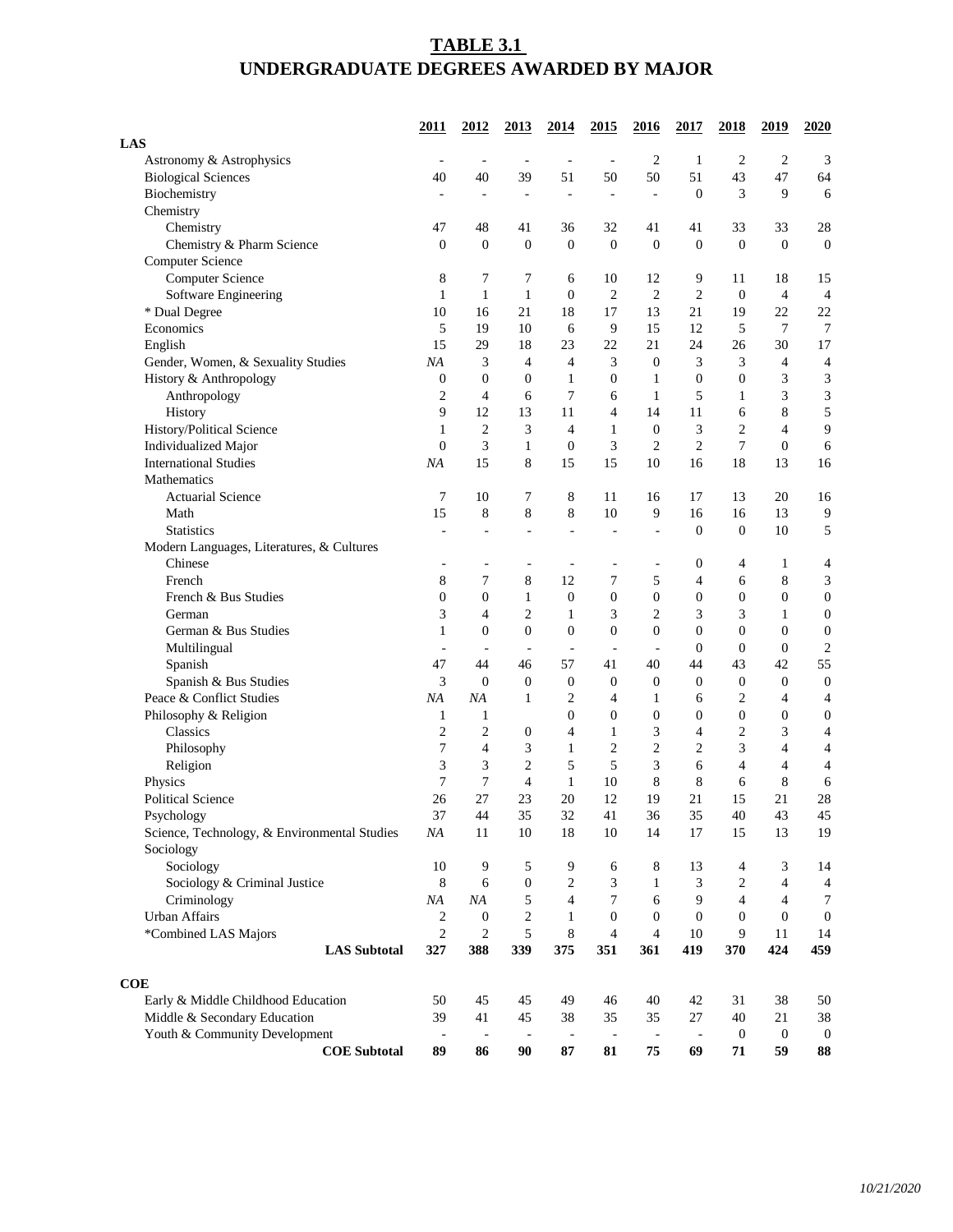## **TABLE 3.1 UNDERGRADUATE DEGREES AWARDED BY MAJOR**

|                                              | 2011             | 2012                     | 2013                     | 2014                     | 2015                     | 2016                     | 2017                     | 2018                     | 2019                     | 2020             |
|----------------------------------------------|------------------|--------------------------|--------------------------|--------------------------|--------------------------|--------------------------|--------------------------|--------------------------|--------------------------|------------------|
| <b>LAS</b>                                   |                  |                          |                          |                          |                          |                          |                          |                          |                          |                  |
| Astronomy & Astrophysics                     |                  | $\overline{\phantom{a}}$ |                          |                          |                          | $\overline{c}$           | $\mathbf{1}$             | 2                        | $\overline{c}$           | 3                |
| <b>Biological Sciences</b>                   | 40               | 40                       | 39                       | 51                       | 50                       | 50                       | 51                       | 43                       | 47                       | 64               |
| Biochemistry                                 |                  |                          |                          |                          | L,                       | $\overline{a}$           | $\boldsymbol{0}$         | 3                        | 9                        | 6                |
| Chemistry                                    |                  |                          |                          |                          |                          |                          |                          |                          |                          |                  |
| Chemistry                                    | 47               | 48                       | 41                       | 36                       | 32                       | 41                       | 41                       | 33                       | 33                       | 28               |
| Chemistry & Pharm Science                    | $\boldsymbol{0}$ | $\boldsymbol{0}$         | $\boldsymbol{0}$         | $\boldsymbol{0}$         | $\overline{0}$           | $\boldsymbol{0}$         | $\boldsymbol{0}$         | $\mathbf{0}$             | $\overline{0}$           | $\boldsymbol{0}$ |
| <b>Computer Science</b>                      |                  |                          |                          |                          |                          |                          |                          |                          |                          |                  |
| <b>Computer Science</b>                      | 8                | $\tau$                   | 7                        | 6                        | 10                       | 12                       | 9                        | 11                       | 18                       | 15               |
| Software Engineering                         | $\mathbf{1}$     | $\mathbf{1}$             | $\mathbf{1}$             | $\boldsymbol{0}$         | $\overline{2}$           | $\overline{2}$           | $\overline{2}$           | $\theta$                 | $\overline{4}$           | $\overline{4}$   |
| * Dual Degree                                | 10               | 16                       | 21                       | 18                       | 17                       | 13                       | 21                       | 19                       | 22                       | 22               |
| Economics                                    | 5                | 19                       | 10                       | 6                        | 9                        | 15                       | 12                       | 5                        | 7                        | $\overline{7}$   |
| English                                      | 15               | 29                       | 18                       | 23                       | 22                       | 21                       | 24                       | 26                       | 30                       | 17               |
| Gender, Women, & Sexuality Studies           | NA               | 3                        | 4                        | 4                        | 3                        | $\boldsymbol{0}$         | 3                        | 3                        | 4                        | $\overline{4}$   |
| History & Anthropology                       | 0                | $\boldsymbol{0}$         | $\boldsymbol{0}$         | 1                        | $\boldsymbol{0}$         | 1                        | $\boldsymbol{0}$         | 0                        | 3                        | $\mathfrak{Z}$   |
| Anthropology                                 | $\overline{c}$   | 4                        | 6                        | 7                        | 6                        | 1                        | 5                        | 1                        | 3                        | $\mathfrak{Z}$   |
| History                                      | 9                | 12                       | 13                       | 11                       | 4                        | 14                       | 11                       | 6                        | 8                        | 5                |
| History/Political Science                    | 1                | $\overline{c}$           | 3                        | 4                        | 1                        | $\boldsymbol{0}$         | 3                        | 2                        | $\overline{4}$           | 9                |
| Individualized Major                         | $\theta$         | 3                        | $\mathbf{1}$             | $\theta$                 | 3                        | $\overline{2}$           | $\overline{c}$           | 7                        | $\overline{0}$           | $\sqrt{6}$       |
| <b>International Studies</b>                 | NA               | 15                       | 8                        | 15                       | 15                       | 10                       | 16                       | 18                       | 13                       | 16               |
| Mathematics                                  |                  |                          |                          |                          |                          |                          |                          |                          |                          |                  |
| <b>Actuarial Science</b>                     | 7                | 10                       | 7                        | 8                        | 11                       | 16                       | 17                       | 13                       | 20                       | 16               |
| Math                                         | 15               | 8                        | $8\,$                    | 8                        | 10                       | 9                        | 16                       | 16                       | 13                       | $\overline{9}$   |
| <b>Statistics</b>                            |                  |                          |                          |                          |                          |                          | $\boldsymbol{0}$         | $\boldsymbol{0}$         | 10                       | 5                |
| Modern Languages, Literatures, & Cultures    |                  |                          |                          |                          |                          |                          |                          |                          |                          |                  |
| Chinese                                      |                  |                          |                          |                          |                          |                          | $\boldsymbol{0}$         | 4                        | $\mathbf{1}$             | $\overline{4}$   |
| French                                       | 8                | $\tau$                   | $\,8\,$                  | 12                       | $\overline{7}$           | 5                        | $\overline{4}$           | 6                        | 8                        | $\mathfrak{Z}$   |
| French & Bus Studies                         | $\overline{0}$   | $\boldsymbol{0}$         | 1                        | $\theta$                 | $\boldsymbol{0}$         | $\boldsymbol{0}$         | $\boldsymbol{0}$         | $\boldsymbol{0}$         | $\mathbf{0}$             | $\boldsymbol{0}$ |
| German                                       | 3                | $\overline{4}$           | 2                        | $\mathbf{1}$             | 3                        | $\overline{2}$           | 3                        | 3                        | 1                        | $\boldsymbol{0}$ |
| German & Bus Studies                         | $\mathbf{1}$     | $\boldsymbol{0}$         | $\boldsymbol{0}$         | $\boldsymbol{0}$         | $\boldsymbol{0}$         | $\boldsymbol{0}$         | $\boldsymbol{0}$         | $\overline{0}$           | $\theta$                 | $\boldsymbol{0}$ |
| Multilingual                                 | $\overline{a}$   | $\overline{\phantom{a}}$ | $\overline{\phantom{a}}$ | $\overline{\phantom{a}}$ | $\overline{\phantom{a}}$ | $\blacksquare$           | $\boldsymbol{0}$         | $\theta$                 | $\overline{0}$           | $\sqrt{2}$       |
| Spanish                                      | 47               | 44                       | 46                       | 57                       | 41                       | 40                       | 44                       | 43                       | 42                       | 55               |
| Spanish & Bus Studies                        | 3                | $\theta$                 | $\boldsymbol{0}$         | $\boldsymbol{0}$         | $\boldsymbol{0}$         | $\boldsymbol{0}$         | $\boldsymbol{0}$         | $\boldsymbol{0}$         | $\theta$                 | $\boldsymbol{0}$ |
| Peace & Conflict Studies                     | NA               | NA                       | $\mathbf{1}$             | $\overline{2}$           | $\overline{4}$           | 1                        | 6                        | $\overline{2}$           | $\overline{4}$           | $\overline{4}$   |
| Philosophy & Religion                        | $\mathbf{1}$     | $\mathbf{1}$             |                          | $\boldsymbol{0}$         | $\boldsymbol{0}$         | $\boldsymbol{0}$         | $\boldsymbol{0}$         | $\boldsymbol{0}$         | $\boldsymbol{0}$         | $\boldsymbol{0}$ |
| Classics                                     | $\overline{c}$   | $\mathbf{2}$             | $\boldsymbol{0}$         | 4                        | $\mathbf{1}$             | 3                        | 4                        | $\overline{c}$           | 3                        | $\overline{4}$   |
| Philosophy                                   | 7                | $\overline{4}$           | 3                        | $\mathbf{1}$             | $\overline{2}$           | $\overline{2}$           | $\overline{2}$           | 3                        | $\overline{\mathcal{L}}$ | $\overline{4}$   |
| Religion                                     | 3                | 3                        | $\overline{c}$           | 5                        | 5                        | 3                        | 6                        | $\overline{\mathcal{L}}$ | $\overline{4}$           | $\overline{4}$   |
| Physics                                      | $\tau$           | $\overline{7}$           | $\overline{4}$           | 1                        | 10                       | $\,8\,$                  | 8                        | 6                        | 8                        | 6                |
| <b>Political Science</b>                     | 26               | 27                       | 23                       | 20                       | 12                       | 19                       | 21                       | 15                       | 21                       | $28\,$           |
| Psychology                                   | 37               | 44                       | 35                       | 32                       | 41                       | 36                       | 35                       | 40                       | 43                       | 45               |
| Science, Technology, & Environmental Studies | NA               | 11                       | 10                       | 18                       | 10                       | 14                       | 17                       | 15                       | 13                       | 19               |
| Sociology                                    |                  |                          |                          |                          |                          |                          |                          |                          |                          |                  |
| Sociology                                    | 10               | 9                        | 5                        | 9                        | 6                        | 8                        | 13                       | 4                        | 3                        | 14               |
| Sociology & Criminal Justice                 | 8                | 6                        | $\boldsymbol{0}$         | $\overline{2}$           | 3                        | 1                        | 3                        | $\overline{c}$           | 4                        | $\overline{4}$   |
| Criminology                                  | NA               | NA                       | 5                        | 4                        | 7                        | 6                        | 9                        | 4                        | $\overline{4}$           | $\tau$           |
| <b>Urban Affairs</b>                         | $\overline{c}$   | $\boldsymbol{0}$         | $\mathbf{2}$             | 1                        | $\boldsymbol{0}$         | $\boldsymbol{0}$         | $\boldsymbol{0}$         | $\boldsymbol{0}$         | $\mathbf{0}$             | $\boldsymbol{0}$ |
| *Combined LAS Majors                         | $\overline{2}$   | $\mathbf{2}$             | 5                        | 8                        | $\overline{4}$           | $\overline{4}$           | $10\,$                   | 9                        | 11                       | 14               |
| <b>LAS</b> Subtotal                          | 327              | 388                      | 339                      | 375                      | 351                      | 361                      | 419                      | 370                      | 424                      | 459              |
|                                              |                  |                          |                          |                          |                          |                          |                          |                          |                          |                  |
| <b>COE</b>                                   |                  |                          |                          |                          |                          |                          |                          |                          |                          |                  |
| Early & Middle Childhood Education           | 50               | 45                       | 45                       | 49                       | 46                       | 40                       | 42                       | 31                       | 38                       | 50               |
| Middle & Secondary Education                 | 39               | 41                       | 45                       | 38                       | 35                       | 35                       | $27\,$                   | 40                       | 21                       | 38               |
| Youth & Community Development                | $\blacksquare$   | $\overline{\phantom{a}}$ | $\overline{\phantom{a}}$ | $\overline{\phantom{a}}$ | $\blacksquare$           | $\overline{\phantom{a}}$ | $\overline{\phantom{a}}$ | $\mathbf{0}$             | $\overline{0}$           | $\boldsymbol{0}$ |
| <b>COE</b> Subtotal                          | 89               | 86                       | 90                       | 87                       | 81                       | 75                       | 69                       | 71                       | 59                       | 88               |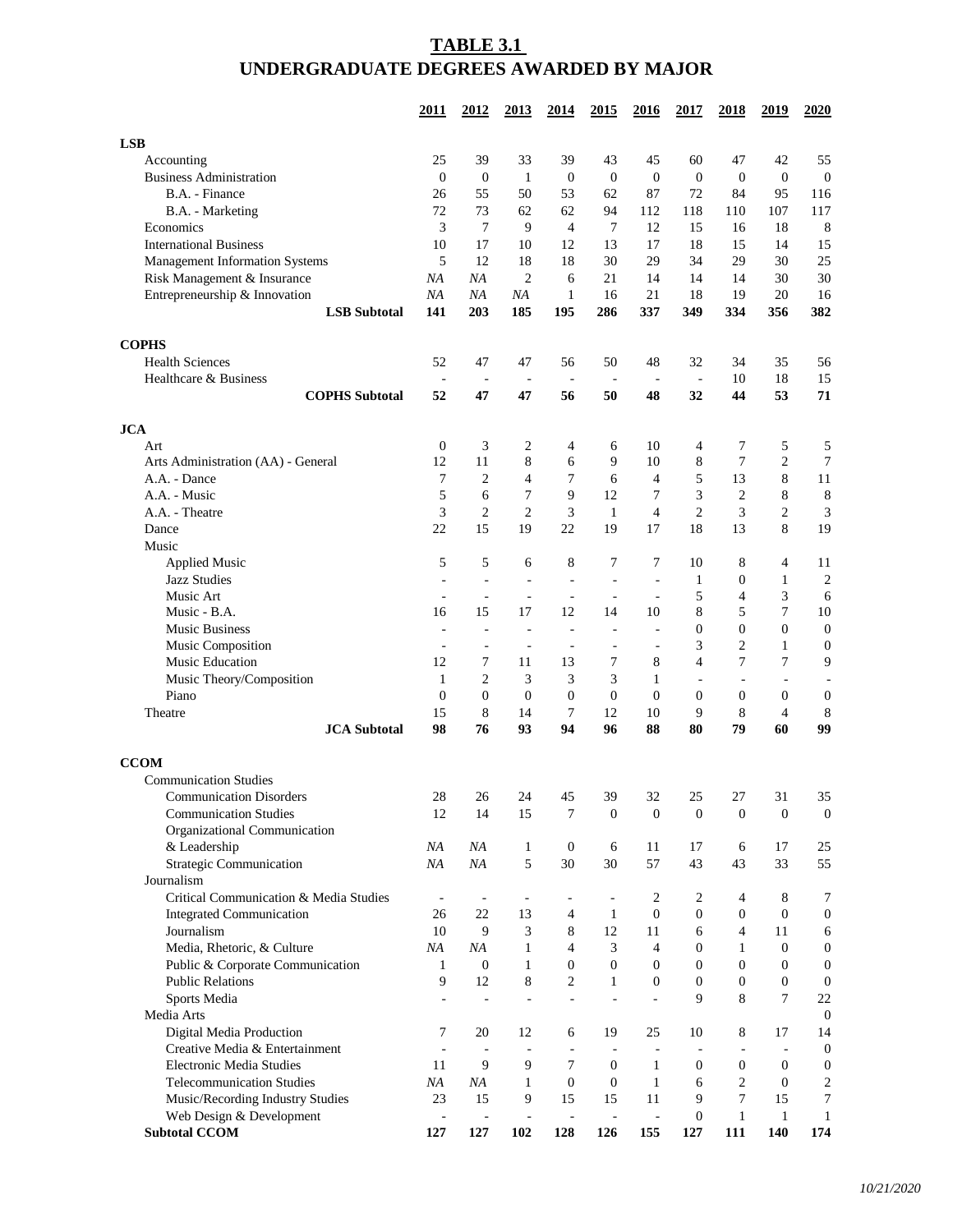## **TABLE 3.1 UNDERGRADUATE DEGREES AWARDED BY MAJOR**

|                                        | 2011                     | <u>2012</u>              | <u>2013</u>              | 2014                           | <u>2015</u>              | <u>2016</u>                  | <u>2017</u>              | <u>2018</u>              | <u>2019</u>              | 2020             |
|----------------------------------------|--------------------------|--------------------------|--------------------------|--------------------------------|--------------------------|------------------------------|--------------------------|--------------------------|--------------------------|------------------|
| <b>LSB</b>                             |                          |                          |                          |                                |                          |                              |                          |                          |                          |                  |
| Accounting                             | 25                       | 39                       | 33                       | 39                             | 43                       | 45                           | 60                       | 47                       | 42                       | 55               |
| <b>Business Administration</b>         | $\boldsymbol{0}$         | $\boldsymbol{0}$         | $\mathbf 1$              | $\boldsymbol{0}$               | $\mathbf{0}$             | $\boldsymbol{0}$             | $\boldsymbol{0}$         | $\theta$                 | $\mathbf{0}$             | $\boldsymbol{0}$ |
| B.A. - Finance                         | 26                       | 55                       | 50                       | 53                             | 62                       | 87                           | 72                       | 84                       | 95                       | 116              |
| B.A. - Marketing                       | 72                       | 73                       | 62                       | 62                             | 94                       | 112                          | 118                      | 110                      | 107                      | 117              |
| Economics                              | 3                        | 7                        | 9                        | 4                              | 7                        | 12                           | 15                       | 16                       | 18                       | 8                |
| <b>International Business</b>          | 10                       | 17                       | 10                       | 12                             | 13                       | 17                           | 18                       | 15                       | 14                       | 15               |
| <b>Management Information Systems</b>  | 5                        | 12                       | 18                       | 18                             | 30                       | 29                           | 34                       | 29                       | 30                       | 25               |
| Risk Management & Insurance            | NA                       | NA                       | $\overline{2}$           | 6                              | 21                       | 14                           | 14                       | 14                       | 30                       | 30               |
| Entrepreneurship & Innovation          | NA                       | NA                       | NA                       | 1                              | 16                       | 21                           | 18                       | 19                       | 20                       | 16               |
| <b>LSB</b> Subtotal                    | 141                      | 203                      | 185                      | 195                            | 286                      | 337                          | 349                      | 334                      | 356                      | 382              |
|                                        |                          |                          |                          |                                |                          |                              |                          |                          |                          |                  |
| <b>COPHS</b><br><b>Health Sciences</b> |                          |                          |                          |                                |                          |                              |                          |                          |                          |                  |
| Healthcare & Business                  | 52                       | 47                       | 47                       | 56                             | 50                       | 48                           | 32                       | 34<br>10                 | 35<br>18                 | 56<br>15         |
|                                        |                          | 47                       | 47                       | $\overline{\phantom{a}}$<br>56 | 50                       | 48                           | $\blacksquare$<br>32     | 44                       | 53                       | 71               |
| <b>COPHS Subtotal</b>                  | 52                       |                          |                          |                                |                          |                              |                          |                          |                          |                  |
| <b>JCA</b>                             |                          |                          |                          |                                |                          |                              |                          |                          |                          |                  |
| Art                                    | 0                        | 3                        | 2                        | 4                              | 6                        | 10                           | 4                        | 7                        | 5                        | 5                |
| Arts Administration (AA) - General     | 12                       | 11                       | 8                        | 6                              | 9                        | 10                           | 8                        | 7                        | $\overline{2}$           | $\tau$           |
| A.A. - Dance                           | 7                        | $\overline{c}$           | 4                        | 7                              | 6                        | 4                            | 5                        | 13                       | 8                        | 11               |
| A.A. - Music                           | 5                        | 6                        | 7                        | 9                              | 12                       | 7                            | 3                        | $\overline{c}$           | 8                        | $8\phantom{1}$   |
| A.A. - Theatre                         | 3                        | $\overline{c}$           | $\overline{2}$           | 3                              | 1                        | 4                            | $\overline{c}$           | 3                        | $\overline{2}$           | 3                |
| Dance                                  | 22                       | 15                       | 19                       | 22                             | 19                       | 17                           | 18                       | 13                       | 8                        | 19               |
| Music                                  |                          |                          |                          |                                |                          |                              |                          |                          |                          |                  |
| <b>Applied Music</b>                   | 5                        | 5                        | 6                        | 8                              | 7                        | 7                            | 10                       | 8                        | $\overline{\mathcal{A}}$ | 11               |
| <b>Jazz Studies</b>                    |                          |                          | L,                       | L,                             | L,                       | $\blacksquare$               | 1                        | $\mathbf{0}$             | 1                        | $\sqrt{2}$       |
| Music Art                              | $\overline{\phantom{a}}$ | $\overline{a}$           | $\overline{\phantom{a}}$ | $\overline{\phantom{a}}$       | $\overline{a}$           | $\qquad \qquad \blacksquare$ | 5                        | 4                        | 3                        | 6                |
| Music - B.A.                           | 16                       | 15                       | 17                       | 12                             | 14                       | 10                           | 8                        | 5                        | 7                        | 10               |
| <b>Music Business</b>                  | $\overline{a}$           | ÷                        | ÷,                       | L.                             | $\overline{\phantom{a}}$ | ÷                            | $\mathbf{0}$             | $\theta$                 | $\Omega$                 | $\boldsymbol{0}$ |
| Music Composition                      | $\overline{\phantom{a}}$ | $\overline{\phantom{a}}$ | $\overline{\phantom{a}}$ | $\overline{\phantom{a}}$       | $\overline{a}$           | $\qquad \qquad \blacksquare$ | 3                        | 2                        | 1                        | $\boldsymbol{0}$ |
| <b>Music Education</b>                 | 12                       | 7                        | 11                       | 13                             | 7                        | $8\,$                        | 4                        | 7                        | 7                        | 9                |
| Music Theory/Composition               | 1                        | $\overline{c}$           | 3                        | 3                              | 3                        | 1                            | $\overline{\phantom{a}}$ | $\overline{\phantom{a}}$ |                          |                  |
| Piano                                  | $\boldsymbol{0}$         | $\boldsymbol{0}$         | $\boldsymbol{0}$         | $\boldsymbol{0}$               | $\boldsymbol{0}$         | $\boldsymbol{0}$             | $\boldsymbol{0}$         | $\boldsymbol{0}$         | $\boldsymbol{0}$         | 0                |
| Theatre                                | 15                       | $8\,$                    | 14                       | 7                              | 12                       | 10                           | 9                        | 8                        | $\overline{4}$           | 8                |
| <b>JCA</b> Subtotal                    | 98                       | 76                       | 93                       | 94                             | 96                       | 88                           | 80                       | 79                       | 60                       | 99               |
| <b>CCOM</b>                            |                          |                          |                          |                                |                          |                              |                          |                          |                          |                  |
| <b>Communication Studies</b>           |                          |                          |                          |                                |                          |                              |                          |                          |                          |                  |
| <b>Communication Disorders</b>         | 28                       | 26                       | 24                       | 45                             | 39                       | 32                           | 25                       | 27                       | 31                       | 35               |
| <b>Communication Studies</b>           | 12                       | 14                       | 15                       | 7                              | $\mathbf{0}$             | $\boldsymbol{0}$             | $\boldsymbol{0}$         | $\boldsymbol{0}$         | $\boldsymbol{0}$         | $\mathbf{0}$     |
| Organizational Communication           |                          |                          |                          |                                |                          |                              |                          |                          |                          |                  |
| & Leadership                           | NA                       | NA                       | $\mathbf{1}$             | $\boldsymbol{0}$               | 6                        | 11                           | 17                       | 6                        | 17                       | 25               |
| <b>Strategic Communication</b>         | NA                       | $N\!A$                   | 5                        | 30                             | 30                       | 57                           | 43                       | 43                       | 33                       | 55               |
| Journalism                             |                          |                          |                          |                                |                          |                              |                          |                          |                          |                  |
| Critical Communication & Media Studies |                          |                          | $\overline{\phantom{a}}$ |                                | $\overline{a}$           | 2                            | $\overline{c}$           | 4                        | 8                        | 7                |
| <b>Integrated Communication</b>        | 26                       | 22                       | 13                       | 4                              | $\mathbf{1}$             | $\boldsymbol{0}$             | $\boldsymbol{0}$         | $\boldsymbol{0}$         | $\boldsymbol{0}$         | $\boldsymbol{0}$ |
| Journalism                             | 10                       | 9                        | 3                        | 8                              | 12                       | 11                           | 6                        | 4                        | 11                       | 6                |
| Media, Rhetoric, & Culture             | NA                       | NA                       | 1                        | $\overline{4}$                 | 3                        | 4                            | 0                        | 1                        | $\boldsymbol{0}$         | $\boldsymbol{0}$ |
| Public & Corporate Communication       | $\mathbf{1}$             | $\boldsymbol{0}$         | 1                        | $\boldsymbol{0}$               | $\boldsymbol{0}$         | $\mathbf{0}$                 | 0                        | $\mathbf{0}$             | $\boldsymbol{0}$         | $\boldsymbol{0}$ |
| <b>Public Relations</b>                | 9                        | 12                       | $\,8\,$                  | $\overline{c}$                 | $\mathbf{1}$             | $\boldsymbol{0}$             | $\boldsymbol{0}$         | $\mathbf{0}$             | $\boldsymbol{0}$         | $\boldsymbol{0}$ |
| Sports Media                           |                          |                          | $\blacksquare$           | $\blacksquare$                 |                          | $\overline{\phantom{a}}$     | 9                        | 8                        | 7                        | 22               |
| Media Arts                             |                          |                          |                          |                                |                          |                              |                          |                          |                          | $\boldsymbol{0}$ |
| Digital Media Production               | 7                        | 20                       | 12                       | 6                              | 19                       | 25                           | 10                       | 8                        | 17                       | 14               |
| Creative Media & Entertainment         |                          |                          |                          |                                |                          |                              | $\overline{\phantom{a}}$ |                          |                          | $\boldsymbol{0}$ |
| Electronic Media Studies               | 11                       | 9                        | 9                        | $\tau$                         | $\boldsymbol{0}$         | $\mathbf{1}$                 | $\boldsymbol{0}$         | $\boldsymbol{0}$         | $\boldsymbol{0}$         | $\boldsymbol{0}$ |
| <b>Telecommunication Studies</b>       | NA                       | NA                       | 1                        | $\theta$                       | $\mathbf{0}$             | $\mathbf{1}$                 | 6                        | $\mathfrak{2}$           | $\mathbf{0}$             | $\boldsymbol{2}$ |
| Music/Recording Industry Studies       | 23                       | 15                       | 9                        | 15                             | 15                       | 11                           | 9                        | $\overline{7}$           | 15                       | $\boldsymbol{7}$ |
| Web Design & Development               |                          |                          |                          | ÷                              | $\overline{a}$           | $\overline{\phantom{a}}$     | $\boldsymbol{0}$         | $\mathbf{1}$             | $\mathbf{1}$             | $\mathbf{1}$     |
| <b>Subtotal CCOM</b>                   | 127                      | 127                      | 102                      | 128                            | 126                      | 155                          | 127                      | 111                      | 140                      | 174              |